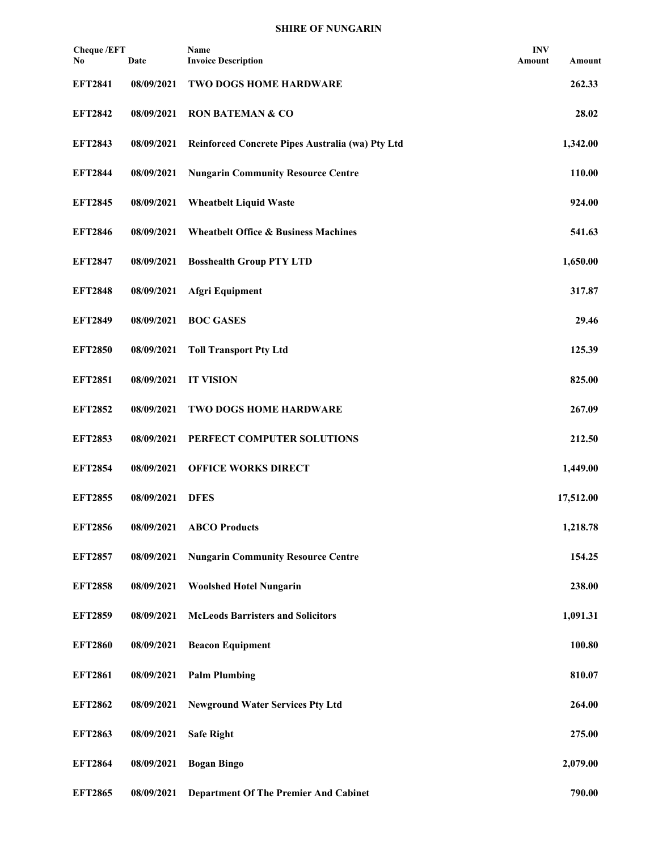| <b>Cheque /EFT</b><br>No | Date       | Name<br><b>Invoice Description</b>               | <b>INV</b><br>Amount | Amount    |
|--------------------------|------------|--------------------------------------------------|----------------------|-----------|
| <b>EFT2841</b>           | 08/09/2021 | TWO DOGS HOME HARDWARE                           |                      | 262.33    |
| <b>EFT2842</b>           | 08/09/2021 | <b>RON BATEMAN &amp; CO</b>                      |                      | 28.02     |
| <b>EFT2843</b>           | 08/09/2021 | Reinforced Concrete Pipes Australia (wa) Pty Ltd |                      | 1,342.00  |
| <b>EFT2844</b>           | 08/09/2021 | <b>Nungarin Community Resource Centre</b>        |                      | 110.00    |
| <b>EFT2845</b>           | 08/09/2021 | <b>Wheatbelt Liquid Waste</b>                    |                      | 924.00    |
| <b>EFT2846</b>           | 08/09/2021 | <b>Wheatbelt Office &amp; Business Machines</b>  |                      | 541.63    |
| <b>EFT2847</b>           | 08/09/2021 | <b>Bosshealth Group PTY LTD</b>                  |                      | 1,650.00  |
| <b>EFT2848</b>           | 08/09/2021 | <b>Afgri Equipment</b>                           |                      | 317.87    |
| <b>EFT2849</b>           | 08/09/2021 | <b>BOC GASES</b>                                 |                      | 29.46     |
| <b>EFT2850</b>           | 08/09/2021 | <b>Toll Transport Pty Ltd</b>                    |                      | 125.39    |
| <b>EFT2851</b>           | 08/09/2021 | <b>IT VISION</b>                                 |                      | 825.00    |
| <b>EFT2852</b>           | 08/09/2021 | TWO DOGS HOME HARDWARE                           |                      | 267.09    |
| <b>EFT2853</b>           | 08/09/2021 | PERFECT COMPUTER SOLUTIONS                       |                      | 212.50    |
| <b>EFT2854</b>           | 08/09/2021 | <b>OFFICE WORKS DIRECT</b>                       |                      | 1,449.00  |
| <b>EFT2855</b>           | 08/09/2021 | <b>DFES</b>                                      |                      | 17,512.00 |
| <b>EFT2856</b>           | 08/09/2021 | <b>ABCO</b> Products                             |                      | 1,218.78  |
| <b>EFT2857</b>           | 08/09/2021 | <b>Nungarin Community Resource Centre</b>        |                      | 154.25    |
| <b>EFT2858</b>           | 08/09/2021 | <b>Woolshed Hotel Nungarin</b>                   |                      | 238.00    |
| <b>EFT2859</b>           | 08/09/2021 | <b>McLeods Barristers and Solicitors</b>         |                      | 1,091.31  |
| <b>EFT2860</b>           | 08/09/2021 | <b>Beacon Equipment</b>                          |                      | 100.80    |
| <b>EFT2861</b>           | 08/09/2021 | <b>Palm Plumbing</b>                             |                      | 810.07    |
| <b>EFT2862</b>           | 08/09/2021 | <b>Newground Water Services Pty Ltd</b>          |                      | 264.00    |
| <b>EFT2863</b>           | 08/09/2021 | <b>Safe Right</b>                                |                      | 275.00    |
| <b>EFT2864</b>           | 08/09/2021 | <b>Bogan Bingo</b>                               |                      | 2,079.00  |
| <b>EFT2865</b>           | 08/09/2021 | <b>Department Of The Premier And Cabinet</b>     |                      | 790.00    |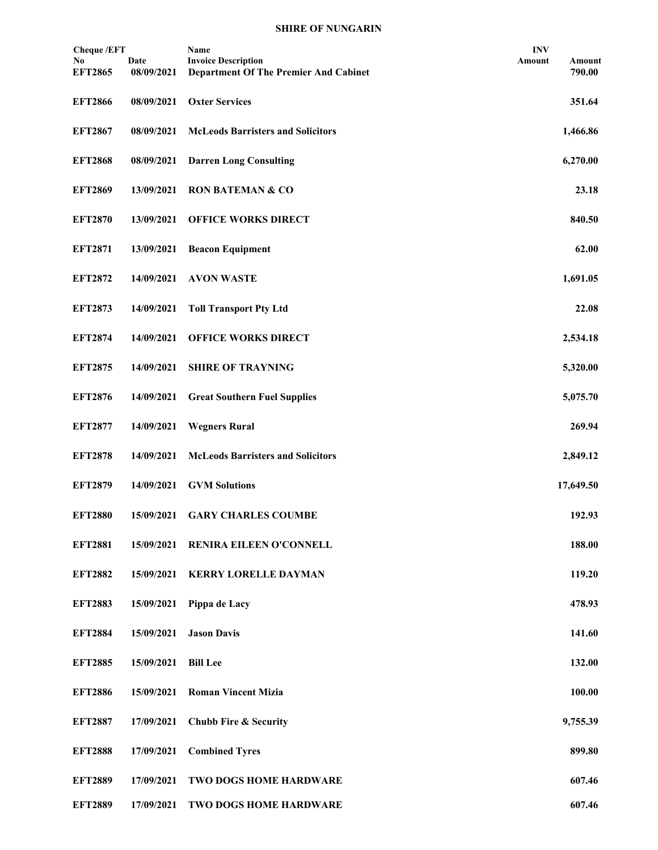| <b>Cheque</b> /EFT   |                    | Name                                                                       | <b>INV</b> |                  |
|----------------------|--------------------|----------------------------------------------------------------------------|------------|------------------|
| No<br><b>EFT2865</b> | Date<br>08/09/2021 | <b>Invoice Description</b><br><b>Department Of The Premier And Cabinet</b> | Amount     | Amount<br>790.00 |
|                      |                    |                                                                            |            |                  |
| <b>EFT2866</b>       | 08/09/2021         | <b>Oxter Services</b>                                                      |            | 351.64           |
| <b>EFT2867</b>       | 08/09/2021         | <b>McLeods Barristers and Solicitors</b>                                   |            | 1,466.86         |
| <b>EFT2868</b>       | 08/09/2021         | <b>Darren Long Consulting</b>                                              |            | 6,270.00         |
| <b>EFT2869</b>       | 13/09/2021         | <b>RON BATEMAN &amp; CO</b>                                                |            | 23.18            |
| <b>EFT2870</b>       | 13/09/2021         | <b>OFFICE WORKS DIRECT</b>                                                 |            | 840.50           |
| <b>EFT2871</b>       | 13/09/2021         | <b>Beacon Equipment</b>                                                    |            | 62.00            |
| <b>EFT2872</b>       | 14/09/2021         | <b>AVON WASTE</b>                                                          |            | 1,691.05         |
| <b>EFT2873</b>       | 14/09/2021         | <b>Toll Transport Pty Ltd</b>                                              |            | 22.08            |
| <b>EFT2874</b>       | 14/09/2021         | <b>OFFICE WORKS DIRECT</b>                                                 |            | 2,534.18         |
| <b>EFT2875</b>       | 14/09/2021         | <b>SHIRE OF TRAYNING</b>                                                   |            | 5,320.00         |
| <b>EFT2876</b>       | 14/09/2021         | <b>Great Southern Fuel Supplies</b>                                        |            | 5,075.70         |
| <b>EFT2877</b>       | 14/09/2021         | <b>Wegners Rural</b>                                                       |            | 269.94           |
| <b>EFT2878</b>       | 14/09/2021         | <b>McLeods Barristers and Solicitors</b>                                   |            | 2,849.12         |
| <b>EFT2879</b>       | 14/09/2021         | <b>GVM Solutions</b>                                                       |            | 17,649.50        |
| <b>EFT2880</b>       | 15/09/2021         | <b>GARY CHARLES COUMBE</b>                                                 |            | 192.93           |
| <b>EFT2881</b>       | 15/09/2021         | RENIRA EILEEN O'CONNELL                                                    |            | 188.00           |
| <b>EFT2882</b>       | 15/09/2021         | <b>KERRY LORELLE DAYMAN</b>                                                |            | 119.20           |
| <b>EFT2883</b>       | 15/09/2021         | Pippa de Lacy                                                              |            | 478.93           |
| <b>EFT2884</b>       | 15/09/2021         | <b>Jason Davis</b>                                                         |            | 141.60           |
| <b>EFT2885</b>       | 15/09/2021         | <b>Bill Lee</b>                                                            |            | 132.00           |
| <b>EFT2886</b>       | 15/09/2021         | <b>Roman Vincent Mizia</b>                                                 |            | 100.00           |
| <b>EFT2887</b>       | 17/09/2021         | <b>Chubb Fire &amp; Security</b>                                           |            | 9,755.39         |
| <b>EFT2888</b>       | 17/09/2021         | <b>Combined Tyres</b>                                                      |            | 899.80           |
| <b>EFT2889</b>       | 17/09/2021         | TWO DOGS HOME HARDWARE                                                     |            | 607.46           |
| <b>EFT2889</b>       | 17/09/2021         | TWO DOGS HOME HARDWARE                                                     |            | 607.46           |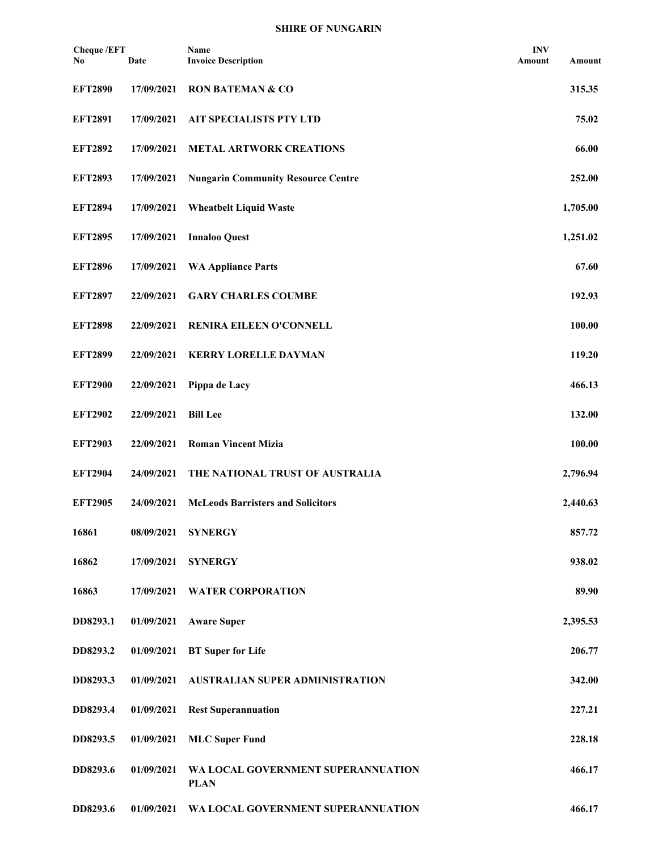| <b>Cheque/EFT</b><br>No | Date       | Name<br><b>Invoice Description</b>                | <b>INV</b><br>Amount | <b>Amount</b> |
|-------------------------|------------|---------------------------------------------------|----------------------|---------------|
| <b>EFT2890</b>          | 17/09/2021 | <b>RON BATEMAN &amp; CO</b>                       |                      | 315.35        |
| <b>EFT2891</b>          | 17/09/2021 | AIT SPECIALISTS PTY LTD                           |                      | 75.02         |
| <b>EFT2892</b>          | 17/09/2021 | <b>METAL ARTWORK CREATIONS</b>                    |                      | 66.00         |
| <b>EFT2893</b>          | 17/09/2021 | <b>Nungarin Community Resource Centre</b>         |                      | 252.00        |
| <b>EFT2894</b>          | 17/09/2021 | <b>Wheatbelt Liquid Waste</b>                     |                      | 1,705.00      |
| <b>EFT2895</b>          | 17/09/2021 | <b>Innaloo Quest</b>                              |                      | 1,251.02      |
| <b>EFT2896</b>          | 17/09/2021 | <b>WA Appliance Parts</b>                         |                      | 67.60         |
| <b>EFT2897</b>          | 22/09/2021 | <b>GARY CHARLES COUMBE</b>                        |                      | 192.93        |
| <b>EFT2898</b>          | 22/09/2021 | RENIRA EILEEN O'CONNELL                           |                      | 100.00        |
| <b>EFT2899</b>          | 22/09/2021 | <b>KERRY LORELLE DAYMAN</b>                       |                      | 119.20        |
| <b>EFT2900</b>          | 22/09/2021 | Pippa de Lacy                                     |                      | 466.13        |
| <b>EFT2902</b>          | 22/09/2021 | <b>Bill Lee</b>                                   |                      | 132.00        |
| <b>EFT2903</b>          | 22/09/2021 | <b>Roman Vincent Mizia</b>                        |                      | 100.00        |
| <b>EFT2904</b>          | 24/09/2021 | THE NATIONAL TRUST OF AUSTRALIA                   |                      | 2,796.94      |
| <b>EFT2905</b>          | 24/09/2021 | <b>McLeods Barristers and Solicitors</b>          |                      | 2,440.63      |
| 16861                   | 08/09/2021 | <b>SYNERGY</b>                                    |                      | 857.72        |
| 16862                   | 17/09/2021 | <b>SYNERGY</b>                                    |                      | 938.02        |
| 16863                   | 17/09/2021 | <b>WATER CORPORATION</b>                          |                      | 89.90         |
| DD8293.1                | 01/09/2021 | <b>Aware Super</b>                                |                      | 2,395.53      |
| DD8293.2                | 01/09/2021 | <b>BT</b> Super for Life                          |                      | 206.77        |
| DD8293.3                | 01/09/2021 | <b>AUSTRALIAN SUPER ADMINISTRATION</b>            |                      | 342.00        |
| DD8293.4                | 01/09/2021 | <b>Rest Superannuation</b>                        |                      | 227.21        |
| DD8293.5                | 01/09/2021 | <b>MLC Super Fund</b>                             |                      | 228.18        |
| DD8293.6                | 01/09/2021 | WA LOCAL GOVERNMENT SUPERANNUATION<br><b>PLAN</b> |                      | 466.17        |
| DD8293.6                | 01/09/2021 | WA LOCAL GOVERNMENT SUPERANNUATION                |                      | 466.17        |